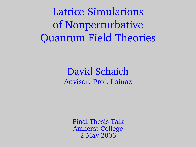Lattice Simulations of Nonperturbative Quantum Field Theories

> David Schaich Advisor: Prof. Loinaz

> > Final Thesis Talk Amherst College 2 May 2006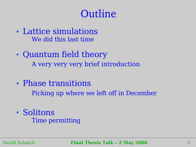### Outline

- Lattice simulations We did this last time
- Quantum field theory A very very very brief introduction
- Phase transitions

Picking up where we left off in December

• Solitons Time permitting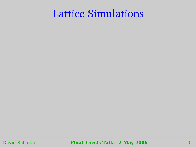### Lattice Simulations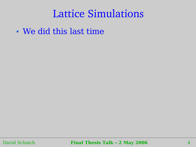### Lattice Simulations

We did this last time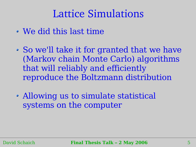### Lattice Simulations

- We did this last time
- So we'll take it for granted that we have (Markov chain Monte Carlo) algorithms that will reliably and efficiently reproduce the Boltzmann distribution
- Allowing us to simulate statistical systems on the computer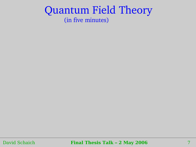(in five minutes)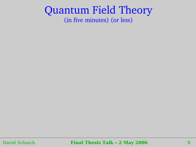(in five minutes) (or less)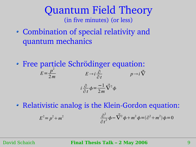### Quantum Field Theory (in five minutes) (or less)

- Combination of special relativity and quantum mechanics
- Free particle Schrödinger equation:  $E =$ *p* 2 2*m*  $E \rightarrow i \frac{\partial}{\partial \overline{\partial}}$ ∂ *t*  $p\!\rightarrow\! i\!\; \vec{\nabla}$ *i* ∂ ∂ *t*  $\phi =$ −1 2*m*  $\vec{\nabla}^2\phi$
- Relativistic analog is the Klein-Gordon equation:  $E^2 = p^2 + m$ 2  $\frac{\partial^2}{\partial x^2}$ ∂*t*  $\frac{1}{2}\phi - \vec{\nabla}^2\phi + m^2\phi = (\partial^2 + m^2)\phi = 0$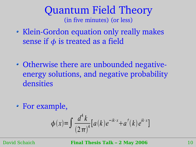### Quantum Field Theory (in five minutes) (or less)

- Klein-Gordon equation only really makes sense if  $\phi$  is treated as a field
- Otherwise there are unbounded negativeenergy solutions, and negative probability densities
- For example,

$$
\phi(x) = \int \frac{d^4 k}{(2\pi)^4} [a(k)e^{-ik \cdot x} + a^{\dagger}(k)e^{ik \cdot x}]
$$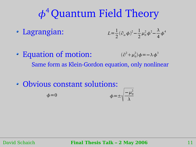- Lagrangian:  $L =$ 1 2  $(\partial_{\alpha}\phi)^2-\frac{1}{2}$ 2  $\mu_0^2 \phi^2$ –  $\lambda$ 4  $\boldsymbol{\phi}^4$
- Equation of motion: Same form as Klein-Gordon equation, only nonlinear  $\left(\partial^2 + \mu_0^2\right)\phi = -\lambda \phi^3$
- Obvious constant solutions:

$$
\phi = 0 \qquad \phi = \pm \sqrt{\frac{-\mu_0^2}{\lambda}}
$$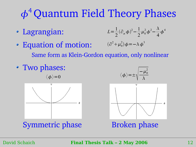# <sup>4</sup> Quantum Field Theory Phases

Lagrangian:

$$
L = \frac{1}{2} (\partial_{\alpha} \phi)^2 - \frac{1}{2} \mu_0^2 \phi^2 - \frac{\lambda}{4} \phi^4
$$

- $\left(\partial^2 + \mu_0^2\right)\phi = -\lambda \phi^3$ Equation of motion:  $\bullet$ Same form as Klein-Gordon equation, only nonlinear
- Two phases:





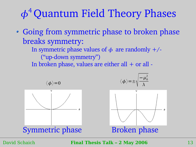# <sup>4</sup> Quantum Field Theory Phases

• Going from symmetric phase to broken phase breaks symmetry:

In symmetric phase values of  $\phi$  are randomly +/-("up-down symmetry") In broken phase, values are either all + or all

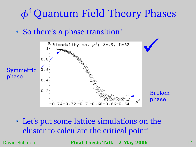# <sup>4</sup> Quantum Field Theory Phases

• So there's a phase transition!



Let's put some lattice simulations on the cluster to calculate the critical point!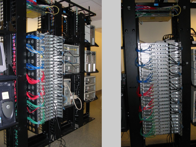

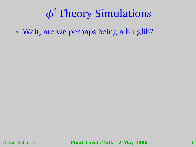# <sup>4</sup> Theory Simulations

Wait, are we perhaps being a bit glib?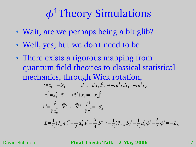# <sup>4</sup> Theory Simulations

- Wait, are we perhaps being a bit glib?
- Well, yes, but we don't need to be
- There exists a rigorous mapping from quantum field theories to classical statistical mechanics, through Wick rotation,

$$
t = x_0 \rightarrow -ix_4
$$
  
\n
$$
d^4x = dx_0 d^3x \rightarrow -i d^3x dx_4 = -i d^4x_E
$$
  
\n
$$
|x|^2 = x_0^2 - \vec{x}^2 \rightarrow -(\vec{x}^2 + x_4^2) = -|x_E|^2
$$
  
\n
$$
\partial^2 = \frac{\partial^2}{\partial x_0^2} - \vec{\nabla}^2 \rightarrow -\vec{\nabla}^2 - \frac{\partial^2}{\partial x_4^2} = -\partial_E^2
$$
  
\n
$$
L = \frac{1}{2} (\partial_\alpha \phi)^2 - \frac{1}{2} \mu_0^2 \phi^2 - \frac{\lambda}{4} \phi^4 \rightarrow -\frac{1}{2} (\partial_{E_\alpha} \phi)^2 - \frac{1}{2} \mu_0^2 \phi^2 - \frac{\lambda}{4} \phi^4 = -L_E
$$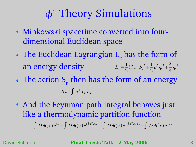# $\phi^4$  Theory Simulations

- Minkowski spacetime converted into fourdimensional Euclidean space
- The Euclidean Lagrangian L E has the form of an energy density  $L_E =$ 1 2  $(\partial_{E\alpha}\phi)^2 +$ 1 2  $\mu_0^2 \phi^2 +$  $\lambda$ 4  $\boldsymbol{\phi}^4$
- The action S E then has the form of an energy  $S_E = \int d^4 x_E L_E$
- And the Feynman path integral behaves just like a thermodynamic partition function  $\int D\phi(x)e^{iS} = \int D\phi(x)e^{i\int d^4xL} \to \int D\phi(x)e^{-\int d^4x_EL_E} = \int D\phi(x)e^{-S_E}$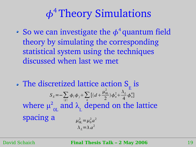# <sup>4</sup> Theory Simulations

- So we can investigate the  $\phi^4$  quantum field theory by simulating the corresponding statistical system using the techniques discussed when last we met
- The discretized lattice action S E is where  $\mu^2$ 0L and λ L depend on the lattice spacing a  $S_E = -\sum$  $\langle \dot{y} \rangle$  $\phi_i \phi_j + \sum$ *n*  $[(d +$  $\mu^2_{0{\rm L}}$ 2  $(\phi_n^2 +$  $\overline{\lambda}_L$ 4  $\phi_n^4$ ]  $\mu_{0L}^2 = \mu_0^2 a^2$  $\lambda_L = \lambda a^2$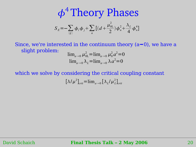#### $\phi^4$  Theory Phases  $S_E = -\sum$  $\langle \dot{y} \rangle$  $\phi_i \phi_j + \sum$ *n*  $[(d +$  $\mu^2_{0{\rm L}}$ 2  $(\phi_n^2 +$  $\lambda_L$ 4  $\phi_n^4$ ]

Since, we're interested in the continuum theory  $(a\rightarrow 0)$ , we have a slight problem:  $\lim_{a\to 0} \mu_{0L}^2 = \lim_{a\to 0} \mu_0^2 a^2 = 0$ 

$$
\lim_{a \to 0} \mu_{0L} = \lim_{a \to 0} \mu_0 a = 0
$$
  

$$
\lim_{a \to 0} \lambda_L = \lim_{a \to 0} \lambda a^2 = 0
$$

which we solve by considering the critical coupling constant  $\left[\lambda/\mu^2\right]_{\text{crit}} = \lim_{a\to 0} \left[\lambda_L/\mu_L^2\right]_{\text{crit}}$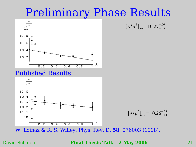### Preliminary Phase Results

 $[\lambda/\mu^2]_{\text{crit}} = 10.27^{+.06}_{-.05}$ 



#### Published Results:



W. Loinaz & R. S. Willey, Phys. Rev. D. **58**, 076003 (1998).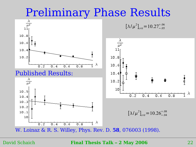### Preliminary Phase Results



W. Loinaz & R. S. Willey, Phys. Rev. D. **58**, 076003 (1998).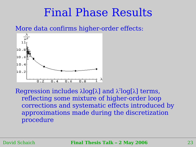### Final Phase Results

### More data confirms higher-order effects:



Regression includes  $\lambda$ log[ $\lambda$ ] and  $\lambda$ <sup>2</sup>log[ $\lambda$ ] terms, reflecting some mixture of higher-order loop corrections and systematic effects introduced by approximations made during the discretization procedure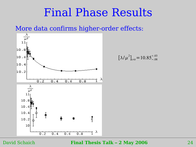### Final Phase Results

#### More data confirms higher-order effects:



 $[\lambda/\mu^2]_{\text{crit}} = 10.85^{+.03}_{-.08}$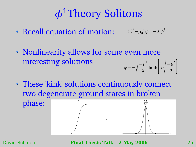# $\phi^4$  Theory Solitons

- Recall equation of motion:  $\left(\partial^2 + \mu_0^2\right)\phi = -\lambda \phi^3$
- Nonlinearity allows for some even more interesting solutions  $\phi = \pm \sqrt{\frac{r}{\lambda}}$  $-\mu_0^2$  $\int_{0}^{\infty}$  tanh  $\int_{0}^{x} x \sqrt{-\frac{f}{2}}$  $-\mu_0^2$
- These 'kink' solutions continuously connect two degenerate ground states in broken phase:

#### David Schaich **Final Thesis Talk – 2 May 2006** 25

 $\overline{2}$ ]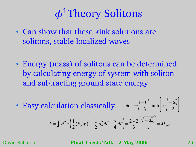# $\phi^4$  Theory Solitons

- Can show that these kink solutions are solitons, stable localized waves
- Energy (mass) of solitons can be determined by calculating energy of system with soliton and subtracting ground state energy
- Easy calculation classically:  $\phi = \pm \sqrt{\frac{-\mu}{\lambda}}$  $-\mu_0^2$  $\int_{0}^{\infty}$  tanh  $\left| x \sqrt{\frac{f}{2}} \right|$  $-\mu_0^2$  $\overline{2}$ ]

$$
E = \int d^2 x \left( \frac{1}{2} (\partial_{\alpha} \phi)^2 + \frac{1}{2} \mu_0^2 \phi^2 + \frac{\lambda}{4} \phi^4 \right) = \frac{2 \sqrt{2}}{3} \frac{\left( \sqrt{-\mu_0^2} \right)^3}{\lambda} = M_{sol}
$$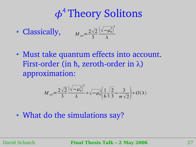# $\phi^4$  Theory Solitons

- Classically,  $M_{sol}$ =  $2\sqrt{2}$ 3  $\bigl(\sqrt{-\mu_0^{\,2}}$  $\begin{array}{c} \hline \end{array}$ 3  $\lambda$
- Must take quantum effects into account. First-order (in h, zeroth-order in  $\lambda$ ) approximation:

$$
M_{sol} = \frac{2\sqrt{2}}{3} \frac{\left(\sqrt{-\mu_0^2}\right)^3}{\lambda} + \sqrt{-\mu_0^2} \left(\frac{1}{6}\sqrt{\frac{2}{3}} - \frac{3}{\pi\sqrt{2}}\right) + O(\lambda)
$$

• What do the simulations say?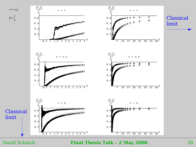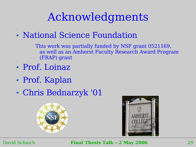# Acknowledgments

National Science Foundation

This work was partially funded by NSF grant 0521169, as well as an Amherst Faculty Research Award Program (FRAP) grant

- Prof. Loinaz
- Prof. Kaplan
- Chris Bednarzyk '01